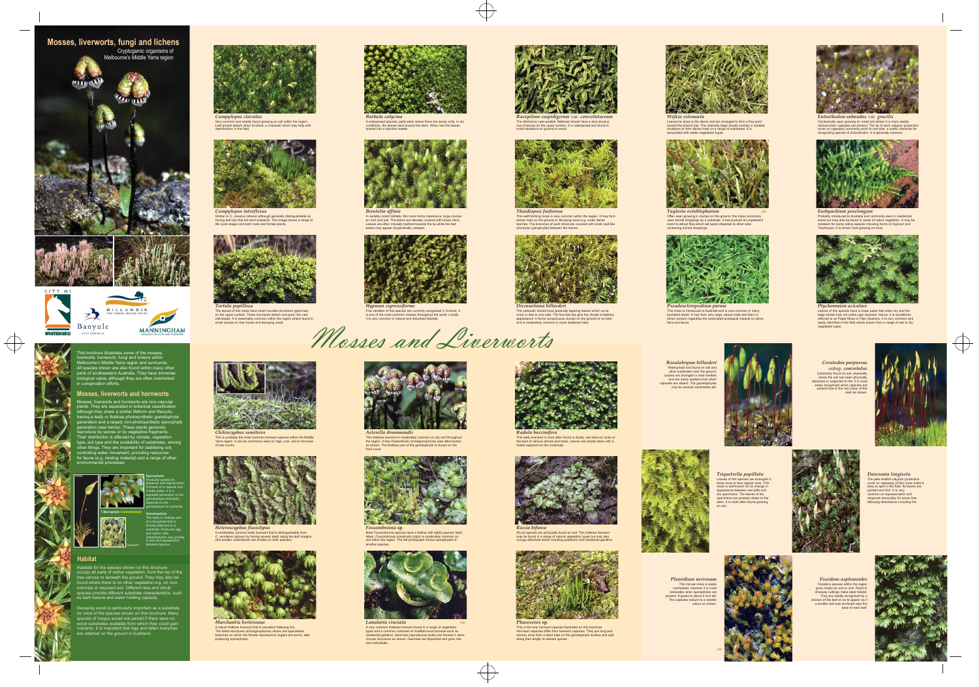*Campylopus clavatus* Very common and readily found growing on soil within the region. Leaf shoots detach when brushed, a character which may help with identification in the field.



*Campylopus introflexus* Similar to *C. clavatus* (above) although generally distinguishable by having leaf tips that are bent outwards. This image shows a range of life cycle stages and both male and female plants.



A widespread species, particularly where there are sandy soils. In dry conditions, the leaves twist around the stem. When wet the leaves spread into a star-like rosette.

*Racopilum cuspidigerum* var*. convolutaceum* The distinctive near-parallel, flattened shoots have a less obvious row of leaves on the upper surface. It is widespread and found in moist situations on ground or wood.

*Entosthodon subnudus* var*. gracilis*

Occasionally seen growing on moist soil where it is more readily noticed when capsules are present. The tip of each calyptra (protective cover on capsules) commonly point to one side, a useful character for recognising species of *Entosthodon*. It is generally common.

Leaves lie close to the stems and are arranged to form a fine point toward the branch tips. The relatively large shoots overlap in suitable situations to form dense mats on a range of substrates. It is

associated with wetter vegetation type



Most *Fossombronia* species have a thallus with tightly packed 'leafy' lobes. *Fossombronia intestinalis* (right) is moderately common on soil within the region. The left photograph shows sporophytes of another species



In suitably moist habitats, this moss forms impressive, large clumps on rock and soil. The stems are densely covered with brown hairs. Leaves are often minutely toothed towards the tip while the leaf bases may appear longitudinally creased.



This weft-forming moss is very common within the region. It may form dense mats on the ground or decaying wood e.g. under dense tea-tree. The branches of each shoot are covered with small, leaf-like structures (paraphyllia) between the leaves.



*Ceratodon purpureus* subsp*. convolutus* Commonly found on soil, especially where the soil has been physically disturbed or subjected to fire. It is most easily recognised when capsules are present due to the red colour of the stalk as shown

Probably introduced to Australia and commonly seen in residential areas but may also be found in areas of native vegetation. It may be mistaken for some native species including forms of *Hypnum* and *Thuidiopsis*. It is shown here growing on brick.





This thallose liverwort is moderately common on dry soil throughout the region. It has characteristic archegoniophores (see *Marchantia*) as shown. The thallose part of the gametophyte is shown on the front cover.



A very common thallose liverwort found in a range of vegetation types and a common coloniser of modified environments such as residential gardens. Gemmae (reproductive buds) are formed in semi-circular structures as shown. Gemmae are dispersed and grow into new individuals.





This leafy liverwort is most often found in shady, wet sites on rocks or the bark of various shrubs and trees. Leaves are simple lobes with a folded segment on the underside.

*Rosulabryum billarderi* Widespread and found on soil and other substrates near the ground. Leaves are arranged in neat rosettes and are easily spotted even when capsules are absent. The gametophytes may be several centimetres tall.



although they share a similar lifeform and lifecycle, having a leafy or thallose photosynthetic gametophyte generation and a largely non-photosynthetic sporophyte generation (see below). These plants generally reproduce by spores or by vegetative fragments. Their distribution is affected by climate, vegetation type, soil type and the availability of substrates, among other things. They are important for stabilising soil, controlling water movement, providing resources controlling water movement, providing resources<br>for fauna (e.g. nesting material) and a range of other



*Pleuridium nervosum* This minute moss is easily overlooked, however it is more noticeable when sporophytes are present. It grows to about 5 mm tall. The capsules mature to a reddish colour as shown.



*Fissidens asplenioides Fissidens* species within the region grow mostly on soil or rock. Road or driveway cuttings make ideal habitated They are readily recognised by a division of the leaf so as to appear as if a smaller leaf was enclosed near the

base of each leaf



*Dicranoloma billarderi* The yellowish shoots have gradually tapering leaves which curve more or less to one side. The fine leaf tips give the shoots a feathery appearance. It forms conspicuous clumps on the ground or on bark and is moderately common in more sheltered sites





moss is well known for its change in appearance between wet (left) and dry specimens. The leaves of dry specimens are pressed closer to the stem. It is most often found growing on soil.



*Dawsonia longiseta* The pale reddish calyptr cover on capsules) of this moss make it easy to spot in the field. Its leaves are pointed and firm. It is very common on exposed earth and responds favourably for some time following disturbance including fire.





*Riccia* species are principally found on soil. This thallose liverwort may be found in a range of natural vegetation types but may also occupy disturbed areas including paddocks and residential gardens.



*Phaeoceros* **sp**. This is the only hornwort species illustrated on this brochure. Hornwort capsules differ from liverwort capsules. They are long and narrow, arise from a short tube on the gametophyte surface and split along their length to release spores.





Leaves of this species have a crepe paper feel when dry and the large shoots look not unlike pipe cleaners. Hence, it is sometimes referred to as Paper Moss or Pipe Cleaners. It is very common and easily identified in the field where known from a range of wet to dry vegetation types.



*Pseudoscleropodium purum* This moss is introduced to Australia and is now common in many bushland areas. It may form very large, dense mats and there is some concern regarding the associated ecological impacts to native flora and fauna.

This is probably the most common liverwort species within the Middle Yarra region. It can be commonly seen on logs, rock, soil or the base of tree trunks.



A moderately common leafy liverwort that is distinguishable from *C. semiteres* (above) by having several teeth along the leaf margins (the smaller underleaves are divided on both species).



*Marchantia berteroana* A robust thallose liverwort that is prevalent following fire. The lobed structures (archegoniphores) shown are specialised branches on which the female reproductive organs are borne, later producing sporophytes.

This brochure illustrates some of the mosses, liverworts, hornworts, fungi and lichens within Melbourne's Middle Yarra region and surrounds. All species shown are also found within many other parts of southeastern Australia. They have immense biological value, although they are often overlooked in conservation efforts.

plants. They are separated in botanical classification

## Mosses, liverworts and hornworts are non-vascular **Mosses, liverworts and hornworts**

Often seen growing in clumps on the ground, this moss commonly uses animal droppings as a substrate. It has evolved an unpleasant scent to attract flies which aid spore dispersal to other sites containing animal droppings. MD





gametophyte and partly depends on the gametophyte for nutrients. **Gametophyte:**  The leafy or thallose part of a bryophyte that is directly attached to a substrate. Produces egg and sperm cells.

> Gametophytes vary greatly in size and appearance between species.





 $\bigoplus$ 







*Hypnum cupressiforme* Five varieties of this species are currently recognised in Victoria. It is one of the most common mosses throughout the world. Locally it is very common in natural and disturbed habitats.







*Tortula papillosa* The leaves of this moss have small rounded structures (gemmae) on the upper surface. These structures detach and grow into new individuals. It is reasonably common within the region where found in small clumps on tree trunks and decaying wood.

Habitats for the species shown on this brochure occupy all parts of native vegetation, from the top of the tree canopy to beneath the ground. They may also be found where there is no other vegetation e.g. on rock outcrops or exposed soil. Different tree and shrub species provide different substrate characteristics, such as bark texture and water holding capacity.

Decaying wood is particularly important as a substrate for most of the species shown on this brochure. Many species of fungus would not persist if there were no wood substrates available from which they could gain nutrients. It is important that logs and fallen branches are retained on the ground in bushland.



**Habitat**



**2 1**

**2**

liverwort